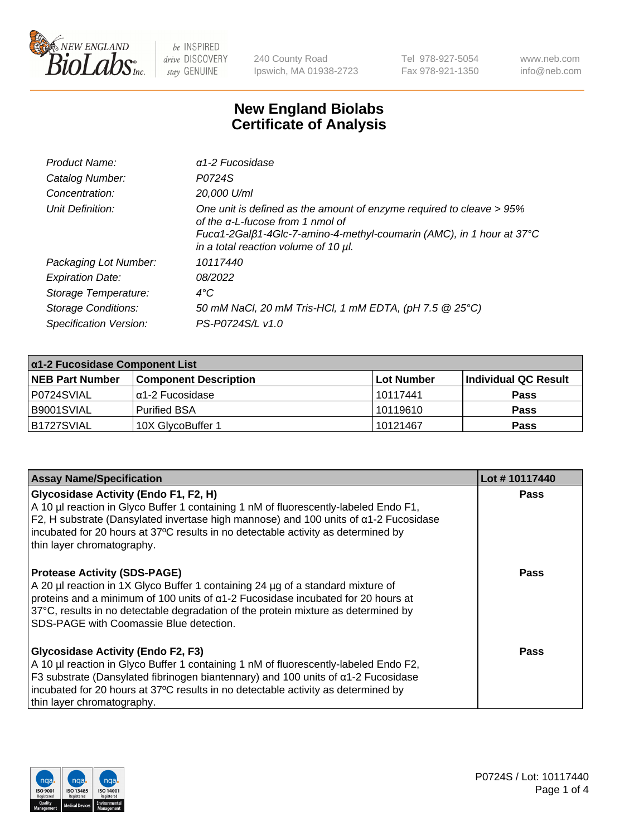

240 County Road Ipswich, MA 01938-2723 Tel 978-927-5054 Fax 978-921-1350 www.neb.com info@neb.com

## **New England Biolabs Certificate of Analysis**

| Product Name:              | $\alpha$ 1-2 Fucosidase                                                                                                                                                                                                               |
|----------------------------|---------------------------------------------------------------------------------------------------------------------------------------------------------------------------------------------------------------------------------------|
| Catalog Number:            | P0724S                                                                                                                                                                                                                                |
| Concentration:             | 20,000 U/ml                                                                                                                                                                                                                           |
| Unit Definition:           | One unit is defined as the amount of enzyme required to cleave > 95%<br>of the $\alpha$ -L-fucose from 1 nmol of<br>Fucα1-2Galβ1-4Glc-7-amino-4-methyl-coumarin (AMC), in 1 hour at 37°C<br>in a total reaction volume of 10 $\mu$ l. |
| Packaging Lot Number:      | 10117440                                                                                                                                                                                                                              |
| <b>Expiration Date:</b>    | 08/2022                                                                                                                                                                                                                               |
| Storage Temperature:       | $4^{\circ}$ C                                                                                                                                                                                                                         |
| <b>Storage Conditions:</b> | 50 mM NaCl, 20 mM Tris-HCl, 1 mM EDTA, (pH 7.5 @ 25°C)                                                                                                                                                                                |
| Specification Version:     | PS-P0724S/L v1.0                                                                                                                                                                                                                      |

| $\alpha$ 1-2 Fucosidase Component List |                              |            |                      |  |
|----------------------------------------|------------------------------|------------|----------------------|--|
| <b>NEB Part Number</b>                 | <b>Component Description</b> | Lot Number | Individual QC Result |  |
| P0724SVIAL                             | α1-2 Fucosidase              | 10117441   | <b>Pass</b>          |  |
| B9001SVIAL                             | <b>Purified BSA</b>          | 10119610   | <b>Pass</b>          |  |
| B1727SVIAL                             | 10X GlycoBuffer 1            | 10121467   | <b>Pass</b>          |  |

| <b>Assay Name/Specification</b>                                                                                                                                                                                                                                                                                                                     | Lot #10117440 |
|-----------------------------------------------------------------------------------------------------------------------------------------------------------------------------------------------------------------------------------------------------------------------------------------------------------------------------------------------------|---------------|
| Glycosidase Activity (Endo F1, F2, H)<br>A 10 µl reaction in Glyco Buffer 1 containing 1 nM of fluorescently-labeled Endo F1,<br>F2, H substrate (Dansylated invertase high mannose) and 100 units of a1-2 Fucosidase<br>incubated for 20 hours at 37°C results in no detectable activity as determined by<br>thin layer chromatography.            | Pass          |
| <b>Protease Activity (SDS-PAGE)</b><br>A 20 µl reaction in 1X Glyco Buffer 1 containing 24 µg of a standard mixture of<br>proteins and a minimum of 100 units of $\alpha$ 1-2 Fucosidase incubated for 20 hours at<br>37°C, results in no detectable degradation of the protein mixture as determined by<br>SDS-PAGE with Coomassie Blue detection. | Pass          |
| <b>Glycosidase Activity (Endo F2, F3)</b><br>A 10 µl reaction in Glyco Buffer 1 containing 1 nM of fluorescently-labeled Endo F2,<br>F3 substrate (Dansylated fibrinogen biantennary) and 100 units of $\alpha$ 1-2 Fucosidase<br>incubated for 20 hours at 37°C results in no detectable activity as determined by<br>thin layer chromatography.   | <b>Pass</b>   |

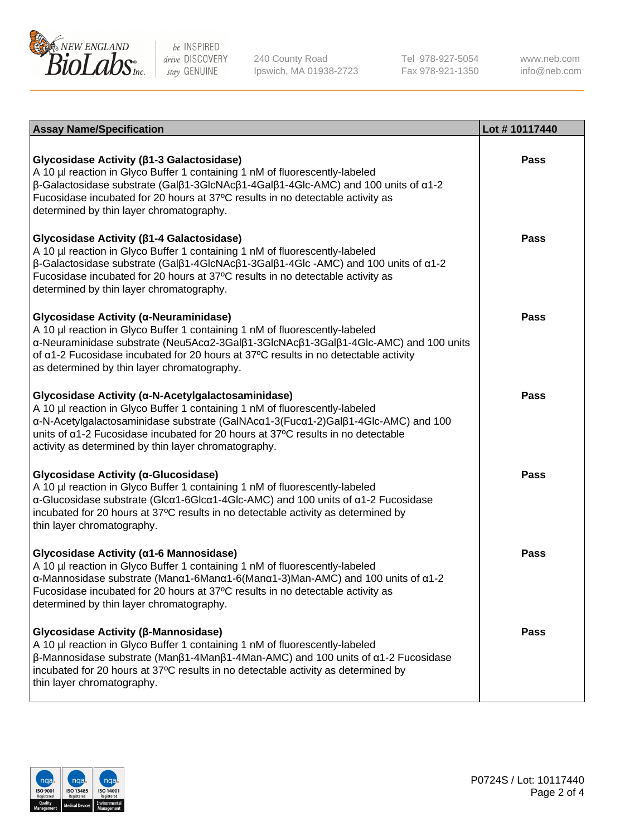

240 County Road Ipswich, MA 01938-2723 Tel 978-927-5054 Fax 978-921-1350

www.neb.com info@neb.com

| <b>Assay Name/Specification</b>                                                                                                                                                                                                                                                                                                                                                     | Lot #10117440 |
|-------------------------------------------------------------------------------------------------------------------------------------------------------------------------------------------------------------------------------------------------------------------------------------------------------------------------------------------------------------------------------------|---------------|
| Glycosidase Activity (β1-3 Galactosidase)<br>A 10 µl reaction in Glyco Buffer 1 containing 1 nM of fluorescently-labeled<br>$\beta$ -Galactosidase substrate (Gal $\beta$ 1-3GlcNAc $\beta$ 1-4Gal $\beta$ 1-4Glc-AMC) and 100 units of $\alpha$ 1-2<br>Fucosidase incubated for 20 hours at 37°C results in no detectable activity as<br>determined by thin layer chromatography.  | <b>Pass</b>   |
| Glycosidase Activity (β1-4 Galactosidase)<br>A 10 µl reaction in Glyco Buffer 1 containing 1 nM of fluorescently-labeled<br>$\beta$ -Galactosidase substrate (Gal $\beta$ 1-4GlcNAc $\beta$ 1-3Gal $\beta$ 1-4Glc -AMC) and 100 units of $\alpha$ 1-2<br>Fucosidase incubated for 20 hours at 37°C results in no detectable activity as<br>determined by thin layer chromatography. | <b>Pass</b>   |
| Glycosidase Activity (α-Neuraminidase)<br>A 10 µl reaction in Glyco Buffer 1 containing 1 nM of fluorescently-labeled<br>α-Neuraminidase substrate (Neu5Acα2-3Galβ1-3GlcNAcβ1-3Galβ1-4Glc-AMC) and 100 units<br>of $\alpha$ 1-2 Fucosidase incubated for 20 hours at 37°C results in no detectable activity<br>as determined by thin layer chromatography.                          | <b>Pass</b>   |
| Glycosidase Activity (α-N-Acetylgalactosaminidase)<br>A 10 µl reaction in Glyco Buffer 1 containing 1 nM of fluorescently-labeled<br>α-N-Acetylgalactosaminidase substrate (GalNAcα1-3(Fucα1-2)Galβ1-4Glc-AMC) and 100<br>units of a1-2 Fucosidase incubated for 20 hours at 37°C results in no detectable<br>activity as determined by thin layer chromatography.                  | <b>Pass</b>   |
| Glycosidase Activity (α-Glucosidase)<br>A 10 µl reaction in Glyco Buffer 1 containing 1 nM of fluorescently-labeled<br>α-Glucosidase substrate (Glcα1-6Glcα1-4Glc-AMC) and 100 units of α1-2 Fucosidase<br>incubated for 20 hours at 37°C results in no detectable activity as determined by<br>thin layer chromatography.                                                          | <b>Pass</b>   |
| Glycosidase Activity (α1-6 Mannosidase)<br>A 10 µl reaction in Glyco Buffer 1 containing 1 nM of fluorescently-labeled<br>$\alpha$ -Mannosidase substrate (Man $\alpha$ 1-6Man $\alpha$ 1-6(Man $\alpha$ 1-3)Man-AMC) and 100 units of $\alpha$ 1-2<br>Fucosidase incubated for 20 hours at 37°C results in no detectable activity as<br>determined by thin layer chromatography.   | <b>Pass</b>   |
| Glycosidase Activity (β-Mannosidase)<br>A 10 µl reaction in Glyco Buffer 1 containing 1 nM of fluorescently-labeled<br>$\beta$ -Mannosidase substrate (Man $\beta$ 1-4Man $\beta$ 1-4Man-AMC) and 100 units of $\alpha$ 1-2 Fucosidase<br>incubated for 20 hours at 37°C results in no detectable activity as determined by<br>thin layer chromatography.                           | <b>Pass</b>   |

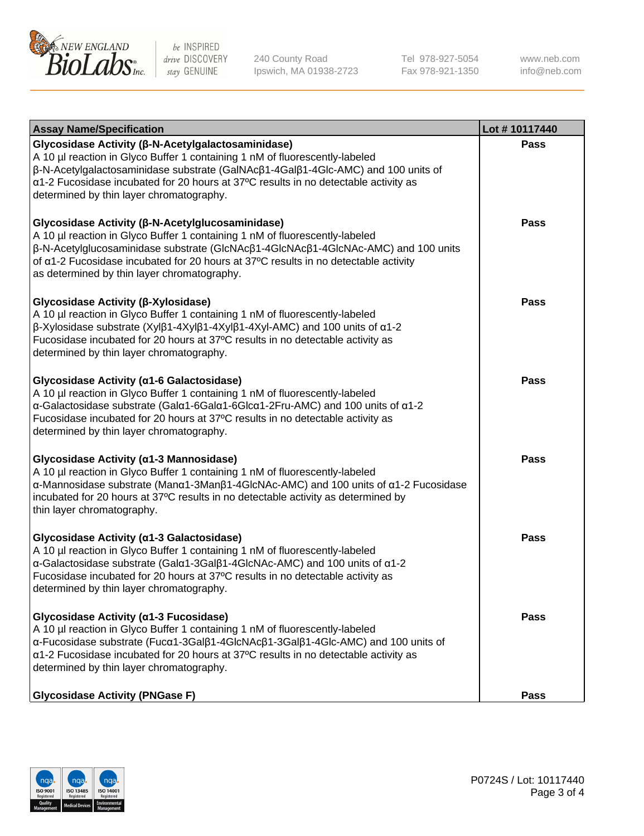

240 County Road Ipswich, MA 01938-2723 Tel 978-927-5054 Fax 978-921-1350 www.neb.com info@neb.com

| <b>Assay Name/Specification</b>                                                                                                                                                                                                                                                                                                                                                  | Lot #10117440 |
|----------------------------------------------------------------------------------------------------------------------------------------------------------------------------------------------------------------------------------------------------------------------------------------------------------------------------------------------------------------------------------|---------------|
| Glycosidase Activity (β-N-Acetylgalactosaminidase)<br>A 10 µl reaction in Glyco Buffer 1 containing 1 nM of fluorescently-labeled<br>$\beta$ -N-Acetylgalactosaminidase substrate (GalNAc $\beta$ 1-4Gal $\beta$ 1-4Glc-AMC) and 100 units of<br>α1-2 Fucosidase incubated for 20 hours at 37°C results in no detectable activity as<br>determined by thin layer chromatography. | Pass          |
| Glycosidase Activity (β-N-Acetylglucosaminidase)<br>A 10 µl reaction in Glyco Buffer 1 containing 1 nM of fluorescently-labeled<br>β-N-Acetylglucosaminidase substrate (GlcNAcβ1-4GlcNAcβ1-4GlcNAc-AMC) and 100 units<br>of a1-2 Fucosidase incubated for 20 hours at 37°C results in no detectable activity<br>as determined by thin layer chromatography.                      | <b>Pass</b>   |
| Glycosidase Activity (β-Xylosidase)<br>A 10 µl reaction in Glyco Buffer 1 containing 1 nM of fluorescently-labeled<br>$\beta$ -Xylosidase substrate (Xylβ1-4Xylβ1-4Xylβ1-4Xyl-AMC) and 100 units of $\alpha$ 1-2<br>Fucosidase incubated for 20 hours at 37°C results in no detectable activity as<br>determined by thin layer chromatography.                                   | <b>Pass</b>   |
| Glycosidase Activity (a1-6 Galactosidase)<br>A 10 µl reaction in Glyco Buffer 1 containing 1 nM of fluorescently-labeled<br>α-Galactosidase substrate (Galα1-6Galα1-6Glcα1-2Fru-AMC) and 100 units of α1-2<br>Fucosidase incubated for 20 hours at 37°C results in no detectable activity as<br>determined by thin layer chromatography.                                         | <b>Pass</b>   |
| Glycosidase Activity (α1-3 Mannosidase)<br>A 10 µl reaction in Glyco Buffer 1 containing 1 nM of fluorescently-labeled<br>α-Mannosidase substrate (Μanα1-3Μanβ1-4GlcNAc-AMC) and 100 units of α1-2 Fucosidase<br>incubated for 20 hours at 37°C results in no detectable activity as determined by<br>thin layer chromatography.                                                 | <b>Pass</b>   |
| Glycosidase Activity (a1-3 Galactosidase)<br>A 10 µl reaction in Glyco Buffer 1 containing 1 nM of fluorescently-labeled<br>α-Galactosidase substrate (Galα1-3Galβ1-4GlcNAc-AMC) and 100 units of α1-2<br>Fucosidase incubated for 20 hours at 37°C results in no detectable activity as<br>determined by thin layer chromatography.                                             | <b>Pass</b>   |
| Glycosidase Activity (α1-3 Fucosidase)<br>A 10 µl reaction in Glyco Buffer 1 containing 1 nM of fluorescently-labeled<br>α-Fucosidase substrate (Fucα1-3Galβ1-4GlcNAcβ1-3Galβ1-4Glc-AMC) and 100 units of<br>α1-2 Fucosidase incubated for 20 hours at 37°C results in no detectable activity as<br>determined by thin layer chromatography.                                     | Pass          |
| <b>Glycosidase Activity (PNGase F)</b>                                                                                                                                                                                                                                                                                                                                           | <b>Pass</b>   |